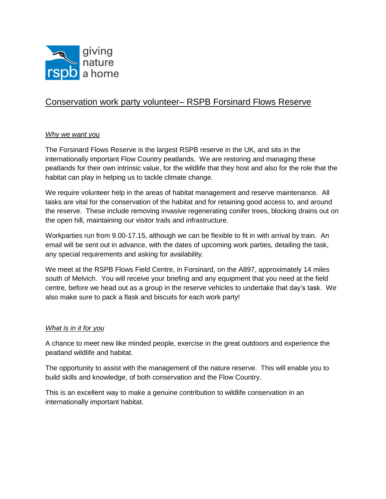

# Conservation work party volunteer– RSPB Forsinard Flows Reserve

## *Why we want you*

The Forsinard Flows Reserve is the largest RSPB reserve in the UK, and sits in the internationally important Flow Country peatlands. We are restoring and managing these peatlands for their own intrinsic value, for the wildlife that they host and also for the role that the habitat can play in helping us to tackle climate change.

We require volunteer help in the areas of habitat management and reserve maintenance. All tasks are vital for the conservation of the habitat and for retaining good access to, and around the reserve. These include removing invasive regenerating conifer trees, blocking drains out on the open hill, maintaining our visitor trails and infrastructure.

Workparties run from 9.00-17.15, although we can be flexible to fit in with arrival by train. An email will be sent out in advance, with the dates of upcoming work parties, detailing the task, any special requirements and asking for availability.

We meet at the RSPB Flows Field Centre, in Forsinard, on the A897, approximately 14 miles south of Melvich. You will receive your briefing and any equipment that you need at the field centre, before we head out as a group in the reserve vehicles to undertake that day's task. We also make sure to pack a flask and biscuits for each work party!

#### *What is in it for you*

A chance to meet new like minded people, exercise in the great outdoors and experience the peatland wildlife and habitat.

The opportunity to assist with the management of the nature reserve. This will enable you to build skills and knowledge, of both conservation and the Flow Country.

This is an excellent way to make a genuine contribution to wildlife conservation in an internationally important habitat.